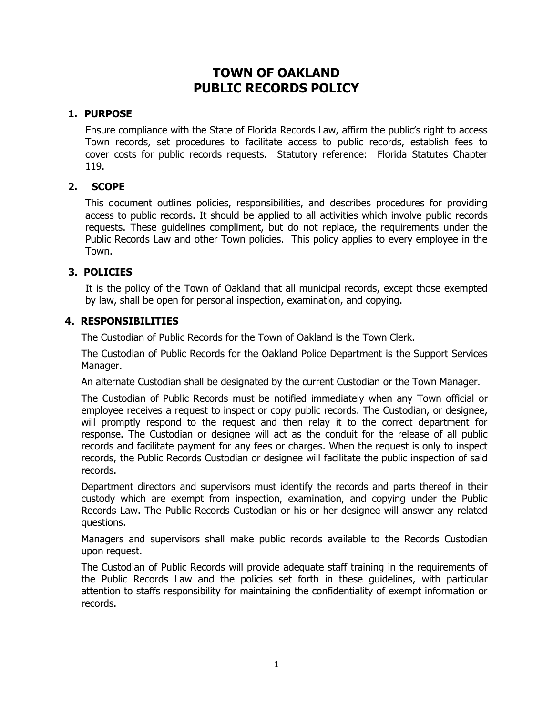# **TOWN OF OAKLAND PUBLIC RECORDS POLICY**

#### **1. PURPOSE**

Ensure compliance with the State of Florida Records Law, affirm the public's right to access Town records, set procedures to facilitate access to public records, establish fees to cover costs for public records requests. Statutory reference: Florida Statutes Chapter 119.

# **2. SCOPE**

This document outlines policies, responsibilities, and describes procedures for providing access to public records. It should be applied to all activities which involve public records requests. These guidelines compliment, but do not replace, the requirements under the Public Records Law and other Town policies. This policy applies to every employee in the Town.

#### **3. POLICIES**

It is the policy of the Town of Oakland that all municipal records, except those exempted by law, shall be open for personal inspection, examination, and copying.

#### **4. RESPONSIBILITIES**

The Custodian of Public Records for the Town of Oakland is the Town Clerk.

The Custodian of Public Records for the Oakland Police Department is the Support Services Manager.

An alternate Custodian shall be designated by the current Custodian or the Town Manager.

The Custodian of Public Records must be notified immediately when any Town official or employee receives a request to inspect or copy public records. The Custodian, or designee, will promptly respond to the request and then relay it to the correct department for response. The Custodian or designee will act as the conduit for the release of all public records and facilitate payment for any fees or charges. When the request is only to inspect records, the Public Records Custodian or designee will facilitate the public inspection of said records.

Department directors and supervisors must identify the records and parts thereof in their custody which are exempt from inspection, examination, and copying under the Public Records Law. The Public Records Custodian or his or her designee will answer any related questions.

Managers and supervisors shall make public records available to the Records Custodian upon request.

The Custodian of Public Records will provide adequate staff training in the requirements of the Public Records Law and the policies set forth in these guidelines, with particular attention to staffs responsibility for maintaining the confidentiality of exempt information or records.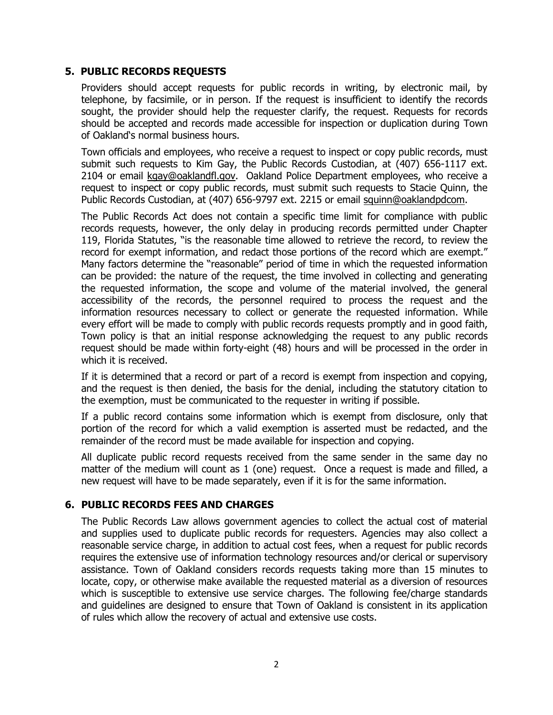#### **5. PUBLIC RECORDS REQUESTS**

Providers should accept requests for public records in writing, by electronic mail, by telephone, by facsimile, or in person. If the request is insufficient to identify the records sought, the provider should help the requester clarify, the request. Requests for records should be accepted and records made accessible for inspection or duplication during Town of Oakland's normal business hours.

Town officials and employees, who receive a request to inspect or copy public records, must submit such requests to Kim Gay, the Public Records Custodian, at (407) 656-1117 ext. 2104 or email [kgay@oaklandfl.gov.](mailto:kgay@oaklandfl.gov) Oakland Police Department employees, who receive a request to inspect or copy public records, must submit such requests to Stacie Quinn, the Public Records Custodian, at (407) 656-9797 ext. 2215 or email [squinn@oaklandpdc](mailto:squinn@oaklandfl.gov)om.

The Public Records Act does not contain a specific time limit for compliance with public records requests, however, the only delay in producing records permitted under Chapter 119, Florida Statutes, "is the reasonable time allowed to retrieve the record, to review the record for exempt information, and redact those portions of the record which are exempt." Many factors determine the "reasonable" period of time in which the requested information can be provided: the nature of the request, the time involved in collecting and generating the requested information, the scope and volume of the material involved, the general accessibility of the records, the personnel required to process the request and the information resources necessary to collect or generate the requested information. While every effort will be made to comply with public records requests promptly and in good faith, Town policy is that an initial response acknowledging the request to any public records request should be made within forty-eight (48) hours and will be processed in the order in which it is received.

If it is determined that a record or part of a record is exempt from inspection and copying, and the request is then denied, the basis for the denial, including the statutory citation to the exemption, must be communicated to the requester in writing if possible.

If a public record contains some information which is exempt from disclosure, only that portion of the record for which a valid exemption is asserted must be redacted, and the remainder of the record must be made available for inspection and copying.

All duplicate public record requests received from the same sender in the same day no matter of the medium will count as 1 (one) request. Once a request is made and filled, a new request will have to be made separately, even if it is for the same information.

# **6. PUBLIC RECORDS FEES AND CHARGES**

The Public Records Law allows government agencies to collect the actual cost of material and supplies used to duplicate public records for requesters. Agencies may also collect a reasonable service charge, in addition to actual cost fees, when a request for public records requires the extensive use of information technology resources and/or clerical or supervisory assistance. Town of Oakland considers records requests taking more than 15 minutes to locate, copy, or otherwise make available the requested material as a diversion of resources which is susceptible to extensive use service charges. The following fee/charge standards and guidelines are designed to ensure that Town of Oakland is consistent in its application of rules which allow the recovery of actual and extensive use costs.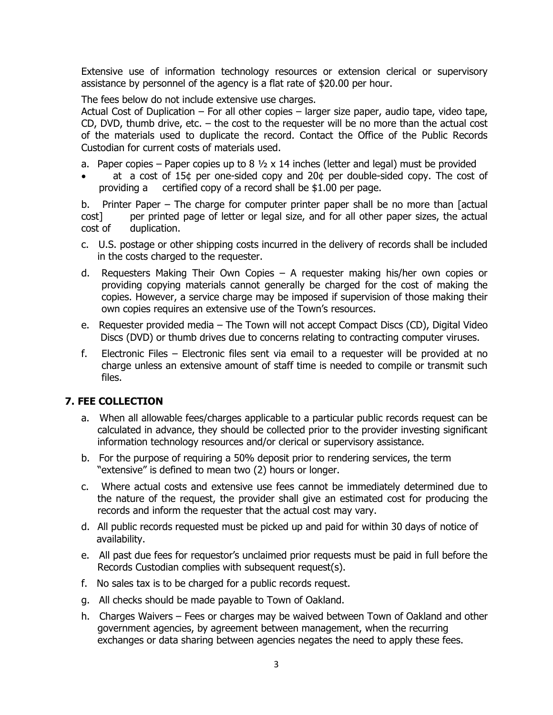Extensive use of information technology resources or extension clerical or supervisory assistance by personnel of the agency is a flat rate of \$20.00 per hour.

The fees below do not include extensive use charges.

Actual Cost of Duplication – For all other copies – larger size paper, audio tape, video tape, CD, DVD, thumb drive, etc. – the cost to the requester will be no more than the actual cost of the materials used to duplicate the record. Contact the Office of the Public Records Custodian for current costs of materials used.

a. Paper copies – Paper copies up to 8  $\frac{1}{2}$  x 14 inches (letter and legal) must be provided

 at a cost of 15¢ per one-sided copy and 20¢ per double-sided copy. The cost of providing a certified copy of a record shall be \$1.00 per page.

b. Printer Paper – The charge for computer printer paper shall be no more than [actual cost] per printed page of letter or legal size, and for all other paper sizes, the actual cost of duplication.

- c. U.S. postage or other shipping costs incurred in the delivery of records shall be included in the costs charged to the requester.
- d. Requesters Making Their Own Copies A requester making his/her own copies or providing copying materials cannot generally be charged for the cost of making the copies. However, a service charge may be imposed if supervision of those making their own copies requires an extensive use of the Town's resources.
- e. Requester provided media The Town will not accept Compact Discs (CD), Digital Video Discs (DVD) or thumb drives due to concerns relating to contracting computer viruses.
- f. Electronic Files Electronic files sent via email to a requester will be provided at no charge unless an extensive amount of staff time is needed to compile or transmit such files.

# **7. FEE COLLECTION**

- a. When all allowable fees/charges applicable to a particular public records request can be calculated in advance, they should be collected prior to the provider investing significant information technology resources and/or clerical or supervisory assistance.
- b. For the purpose of requiring a 50% deposit prior to rendering services, the term "extensive" is defined to mean two (2) hours or longer.
- c. Where actual costs and extensive use fees cannot be immediately determined due to the nature of the request, the provider shall give an estimated cost for producing the records and inform the requester that the actual cost may vary.
- d. All public records requested must be picked up and paid for within 30 days of notice of availability.
- e. All past due fees for requestor's unclaimed prior requests must be paid in full before the Records Custodian complies with subsequent request(s).
- f. No sales tax is to be charged for a public records request.
- g. All checks should be made payable to Town of Oakland.
- h. Charges Waivers Fees or charges may be waived between Town of Oakland and other government agencies, by agreement between management, when the recurring exchanges or data sharing between agencies negates the need to apply these fees.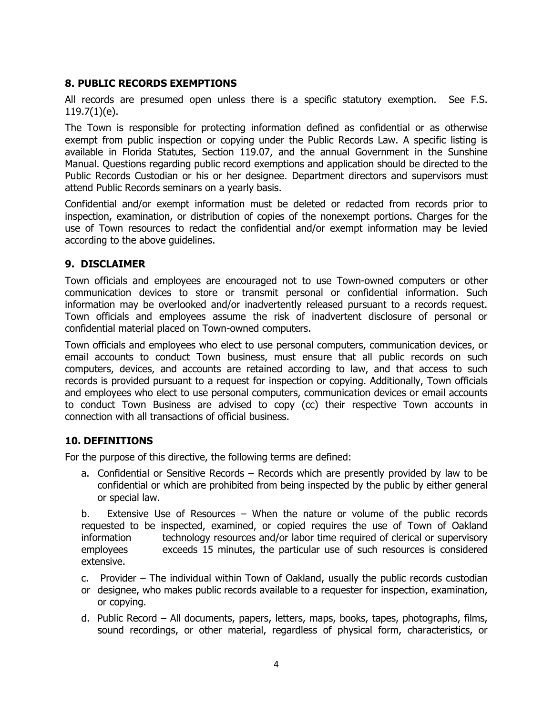# **8. PUBLIC RECORDS EXEMPTIONS**

All records are presumed open unless there is a specific statutory exemption. See F.S. 119.7(1)(e).

The Town is responsible for protecting information defined as confidential or as otherwise exempt from public inspection or copying under the Public Records Law. A specific listing is available in Florida Statutes, Section 119.07, and the annual Government in the Sunshine Manual. Questions regarding public record exemptions and application should be directed to the Public Records Custodian or his or her designee. Department directors and supervisors must attend Public Records seminars on a yearly basis.

Confidential and/or exempt information must be deleted or redacted from records prior to inspection, examination, or distribution of copies of the nonexempt portions. Charges for the use of Town resources to redact the confidential and/or exempt information may be levied according to the above guidelines.

#### **9. DISCLAIMER**

Town officials and employees are encouraged not to use Town-owned computers or other communication devices to store or transmit personal or confidential information. Such information may be overlooked and/or inadvertently released pursuant to a records request. Town officials and employees assume the risk of inadvertent disclosure of personal or confidential material placed on Town-owned computers.

Town officials and employees who elect to use personal computers, communication devices, or email accounts to conduct Town business, must ensure that all public records on such computers, devices, and accounts are retained according to law, and that access to such records is provided pursuant to a request for inspection or copying. Additionally, Town officials and employees who elect to use personal computers, communication devices or email accounts to conduct Town Business are advised to copy (cc) their respective Town accounts in connection with all transactions of official business.

# **10. DEFINITIONS**

For the purpose of this directive, the following terms are defined:

a. Confidential or Sensitive Records – Records which are presently provided by law to be confidential or which are prohibited from being inspected by the public by either general or special law.

b. Extensive Use of Resources – When the nature or volume of the public records requested to be inspected, examined, or copied requires the use of Town of Oakland information technology resources and/or labor time required of clerical or supervisory employees exceeds 15 minutes, the particular use of such resources is considered extensive.

- c. Provider The individual within Town of Oakland, usually the public records custodian
- or designee, who makes public records available to a requester for inspection, examination, or copying.
- d. Public Record All documents, papers, letters, maps, books, tapes, photographs, films, sound recordings, or other material, regardless of physical form, characteristics, or